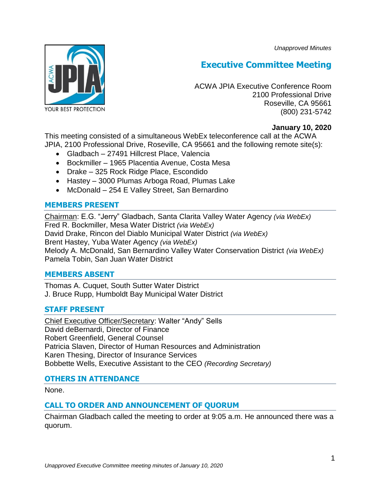*Unapproved Minutes*



# **Executive Committee Meeting**

ACWA JPIA Executive Conference Room 2100 Professional Drive Roseville, CA 95661 (800) 231-5742

## **January 10, 2020**

This meeting consisted of a simultaneous WebEx teleconference call at the ACWA JPIA, 2100 Professional Drive, Roseville, CA 95661 and the following remote site(s):

- Gladbach 27491 Hillcrest Place, Valencia
- Bockmiller 1965 Placentia Avenue, Costa Mesa
- Drake 325 Rock Ridge Place, Escondido
- Hastey 3000 Plumas Arboga Road, Plumas Lake
- McDonald 254 E Valley Street, San Bernardino

## **MEMBERS PRESENT**

Chairman: E.G. "Jerry" Gladbach, Santa Clarita Valley Water Agency *(via WebEx)* Fred R. Bockmiller, Mesa Water District *(via WebEx)* David Drake, Rincon del Diablo Municipal Water District *(via WebEx)* Brent Hastey, Yuba Water Agency *(via WebEx)* Melody A. McDonald, San Bernardino Valley Water Conservation District *(via WebEx)* Pamela Tobin, San Juan Water District

#### **MEMBERS ABSENT**

Thomas A. Cuquet, South Sutter Water District J. Bruce Rupp, Humboldt Bay Municipal Water District

# **STAFF PRESENT**

Chief Executive Officer/Secretary: Walter "Andy" Sells David deBernardi, Director of Finance Robert Greenfield, General Counsel Patricia Slaven, Director of Human Resources and Administration Karen Thesing, Director of Insurance Services Bobbette Wells, Executive Assistant to the CEO *(Recording Secretary)*

# **OTHERS IN ATTENDANCE**

None.

# **CALL TO ORDER AND ANNOUNCEMENT OF QUORUM**

Chairman Gladbach called the meeting to order at 9:05 a.m. He announced there was a quorum.